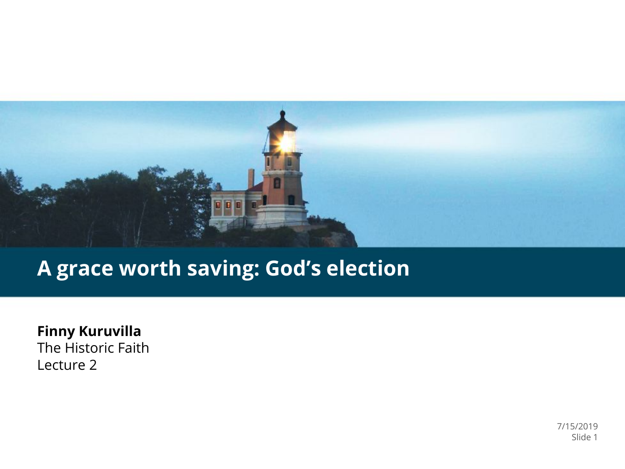

#### **A grace worth saving: God's election**

**Finny Kuruvilla** The Historic Faith Lecture 2

> 7/15/2019 Slide 1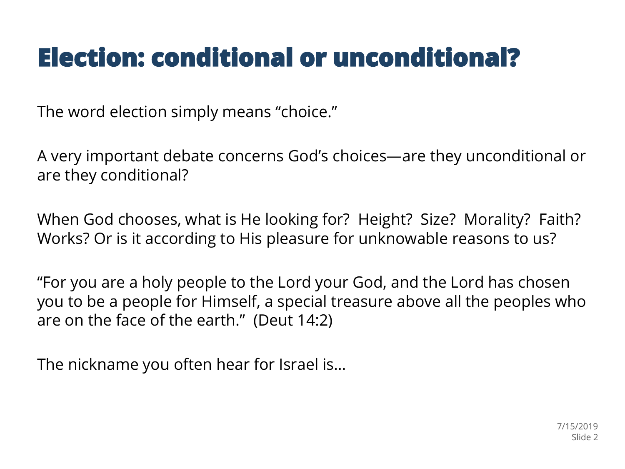## **Election: conditional or unconditional?**

The word election simply means "choice."

A very important debate concerns God's choices—are they unconditional or are they conditional?

When God chooses, what is He looking for? Height? Size? Morality? Faith? Works? Or is it according to His pleasure for unknowable reasons to us?

"For you are a holy people to the Lord your God, and the Lord has chosen you to be a people for Himself, a special treasure above all the peoples who are on the face of the earth." (Deut 14:2)

The nickname you often hear for Israel is…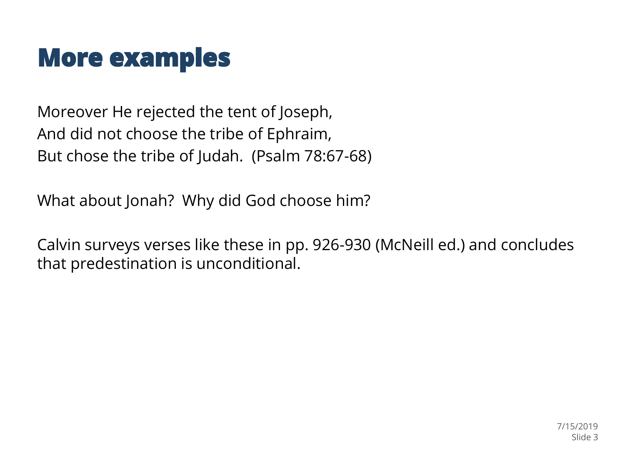#### **More examples**

Moreover He rejected the tent of Joseph, And did not choose the tribe of Ephraim, But chose the tribe of Judah. (Psalm 78:67-68)

What about Jonah? Why did God choose him?

Calvin surveys verses like these in pp. 926-930 (McNeill ed.) and concludes that predestination is unconditional.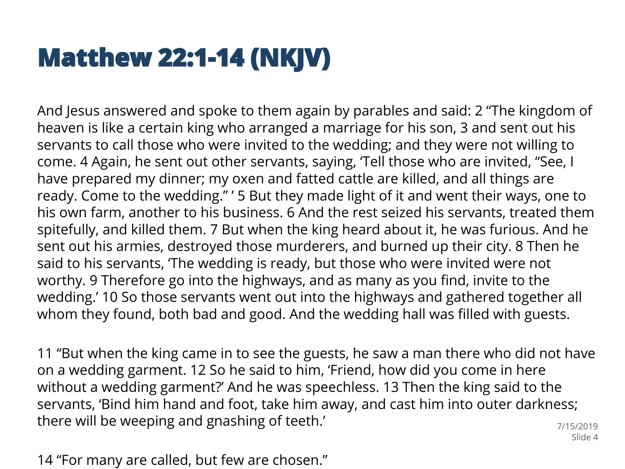## **Matthew 22:1-14 (NKJV)**

And Jesus answered and spoke to them again by parables and said: 2 "The kingdom of heaven is like a certain king who arranged a marriage for his son, 3 and sent out his servants to call those who were invited to the wedding; and they were not willing to come. 4 Again, he sent out other servants, saying, 'Tell those who are invited, "See, I have prepared my dinner; my oxen and fatted cattle are killed, and all things are ready. Come to the wedding." ' 5 But they made light of it and went their ways, one to his own farm, another to his business. 6 And the rest seized his servants, treated them spitefully, and killed them. 7 But when the king heard about it, he was furious. And he sent out his armies, destroyed those murderers, and burned up their city. 8 Then he said to his servants, 'The wedding is ready, but those who were invited were not worthy. 9 Therefore go into the highways, and as many as you find, invite to the wedding.' 10 So those servants went out into the highways and gathered together all whom they found, both bad and good. And the wedding hall was filled with guests.

11 "But when the king came in to see the guests, he saw a man there who did not have on a wedding garment. 12 So he said to him, 'Friend, how did you come in here without a wedding garment?' And he was speechless. 13 Then the king said to the servants, 'Bind him hand and foot, take him away, and cast him into outer darkness; there will be weeping and gnashing of teeth.' 7/15/2019

Slide 4

14 "For many are called, but few are chosen."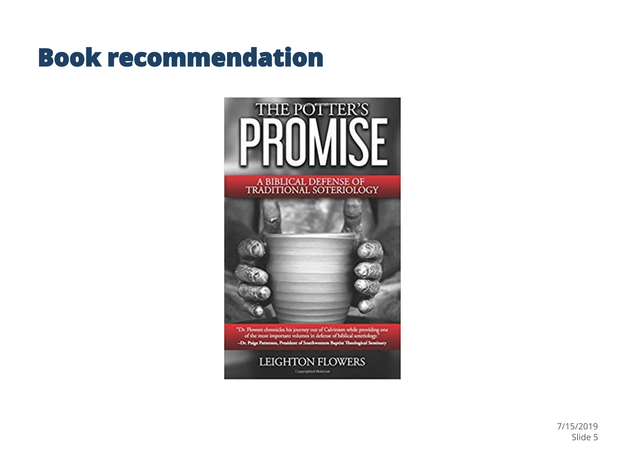### **Book recommendation**



7/15/2019 Slide 5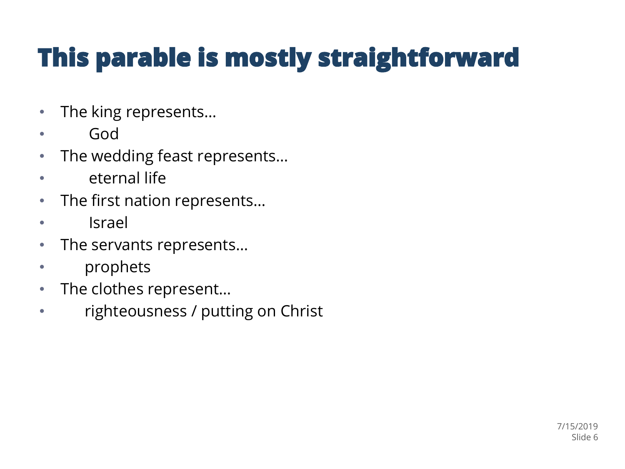# This parable is mostly straightforward

- The king represents…
- God
- The wedding feast represents…
- eternal life
- The first nation represents...
- **Israel**
- The servants represents…
- prophets
- The clothes represent…
- righteousness / putting on Christ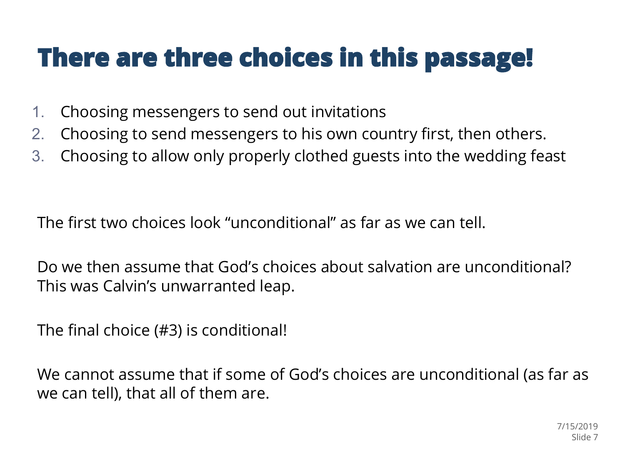### There are three choices in this passage!

- 1. Choosing messengers to send out invitations
- 2. Choosing to send messengers to his own country first, then others.
- 3. Choosing to allow only properly clothed guests into the wedding feast

The first two choices look "unconditional" as far as we can tell.

Do we then assume that God's choices about salvation are unconditional? This was Calvin's unwarranted leap.

The final choice (#3) is conditional!

We cannot assume that if some of God's choices are unconditional (as far as we can tell), that all of them are.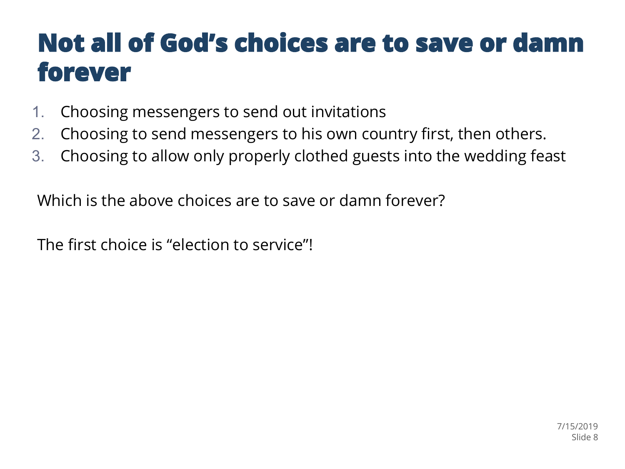### Not all of God's choices are to save or damn forever

- 1. Choosing messengers to send out invitations
- 2. Choosing to send messengers to his own country first, then others.
- 3. Choosing to allow only properly clothed guests into the wedding feast

Which is the above choices are to save or damn forever?

The first choice is "election to service"!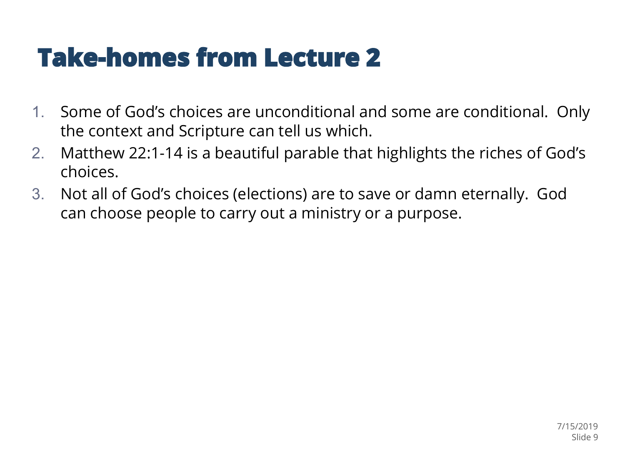### **Take-homes from Lecture 2**

- 1. Some of God's choices are unconditional and some are conditional. Only the context and Scripture can tell us which.
- 2. Matthew 22:1-14 is a beautiful parable that highlights the riches of God's choices.
- 3. Not all of God's choices (elections) are to save or damn eternally. God can choose people to carry out a ministry or a purpose.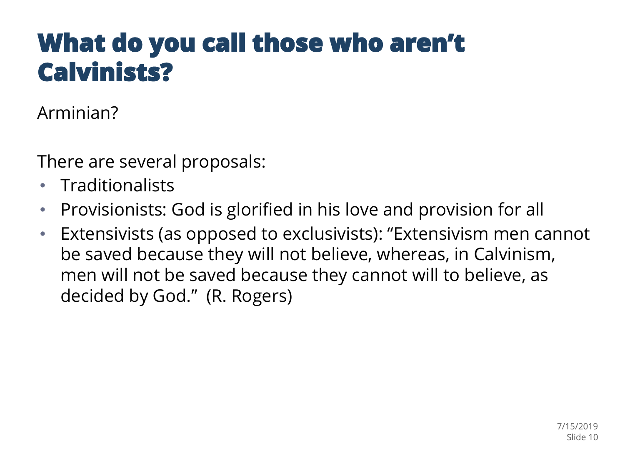### What do you call those who aren't **Calvinists?**

Arminian?

There are several proposals:

- Traditionalists
- Provisionists: God is glorified in his love and provision for all
- Extensivists (as opposed to exclusivists): "Extensivism men cannot be saved because they will not believe, whereas, in Calvinism, men will not be saved because they cannot will to believe, as decided by God." (R. Rogers)